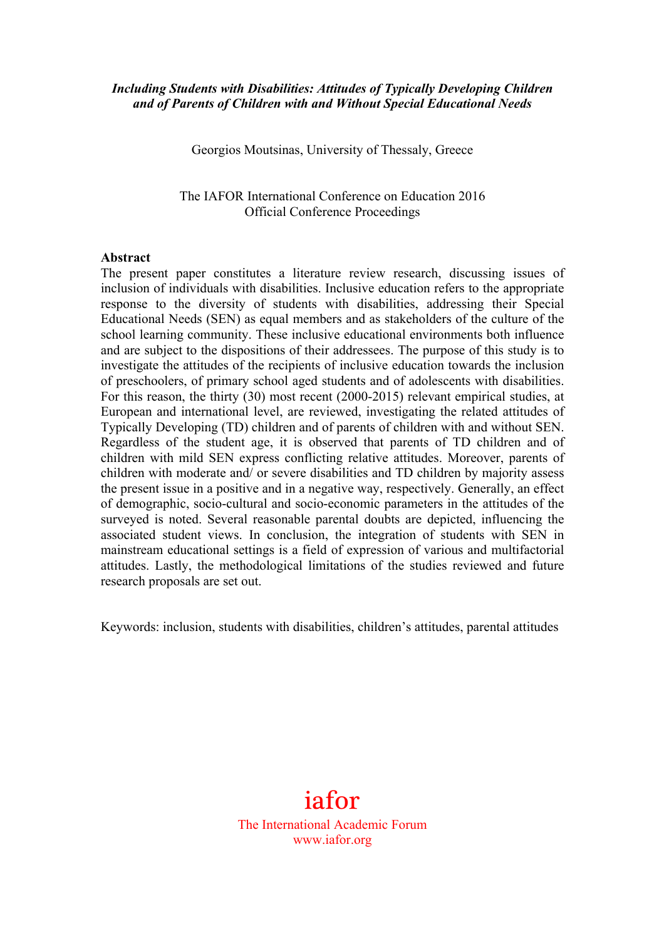#### *Including Students with Disabilities: Attitudes of Typically Developing Children and of Parents of Children with and Without Special Educational Needs*

Georgios Moutsinas, University of Thessaly, Greece

The IAFOR International Conference on Education 2016 Official Conference Proceedings

#### **Abstract**

The present paper constitutes a literature review research, discussing issues of inclusion of individuals with disabilities. Inclusive education refers to the appropriate response to the diversity of students with disabilities, addressing their Special Educational Needs (SEN) as equal members and as stakeholders of the culture of the school learning community. These inclusive educational environments both influence and are subject to the dispositions of their addressees. The purpose of this study is to investigate the attitudes of the recipients of inclusive education towards the inclusion of preschoolers, of primary school aged students and of adolescents with disabilities. For this reason, the thirty (30) most recent (2000-2015) relevant empirical studies, at European and international level, are reviewed, investigating the related attitudes of Typically Developing (TD) children and of parents of children with and without SEN. Regardless of the student age, it is observed that parents of TD children and of children with mild SEN express conflicting relative attitudes. Moreover, parents of children with moderate and/ or severe disabilities and TD children by majority assess the present issue in a positive and in a negative way, respectively. Generally, an effect of demographic, socio-cultural and socio-economic parameters in the attitudes of the surveyed is noted. Several reasonable parental doubts are depicted, influencing the associated student views. In conclusion, the integration of students with SEN in mainstream educational settings is a field of expression of various and multifactorial attitudes. Lastly, the methodological limitations of the studies reviewed and future research proposals are set out.

Keywords: inclusion, students with disabilities, children's attitudes, parental attitudes

# iafor

The International Academic Forum www.iafor.org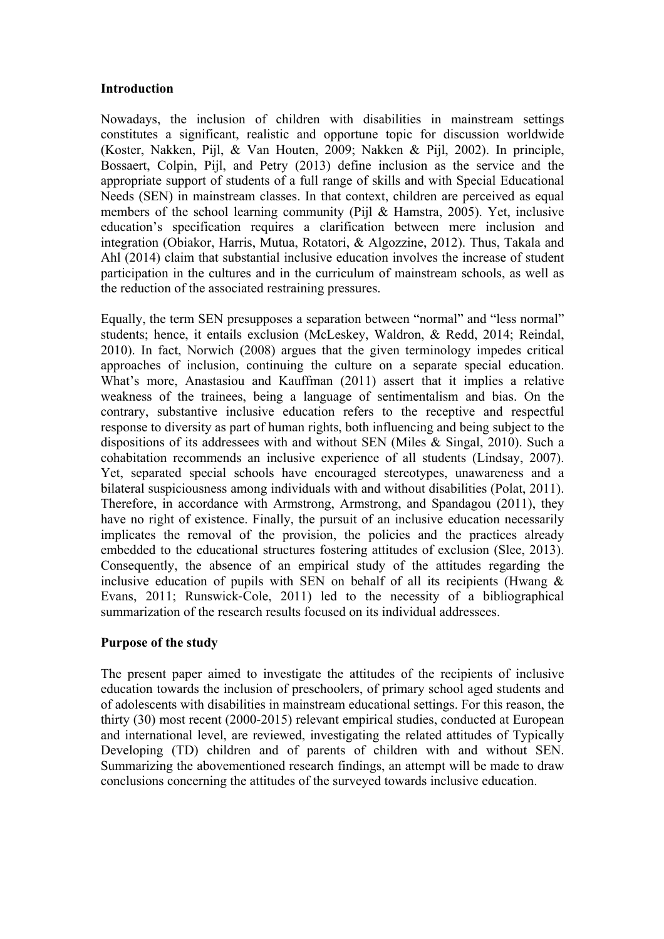#### **Introduction**

Nowadays, the inclusion of children with disabilities in mainstream settings constitutes a significant, realistic and opportune topic for discussion worldwide (Koster, Nakken, Pijl, & Van Houten, 2009; Nakken & Pijl, 2002). In principle, Bossaert, Colpin, Pijl, and Petry (2013) define inclusion as the service and the appropriate support of students of a full range of skills and with Special Educational Needs (SEN) in mainstream classes. In that context, children are perceived as equal members of the school learning community (Pijl & Hamstra, 2005). Yet, inclusive education's specification requires a clarification between mere inclusion and integration (Obiakor, Harris, Mutua, Rotatori, & Algozzine, 2012). Thus, Takala and Ahl (2014) claim that substantial inclusive education involves the increase of student participation in the cultures and in the curriculum of mainstream schools, as well as the reduction of the associated restraining pressures.

Equally, the term SEN presupposes a separation between "normal" and "less normal" students; hence, it entails exclusion (McLeskey, Waldron, & Redd, 2014; Reindal, 2010). In fact, Norwich (2008) argues that the given terminology impedes critical approaches of inclusion, continuing the culture on a separate special education. What's more, Anastasiou and Kauffman (2011) assert that it implies a relative weakness of the trainees, being a language of sentimentalism and bias. On the contrary, substantive inclusive education refers to the receptive and respectful response to diversity as part of human rights, both influencing and being subject to the dispositions of its addressees with and without SEN (Miles & Singal, 2010). Such a cohabitation recommends an inclusive experience of all students (Lindsay, 2007). Yet, separated special schools have encouraged stereotypes, unawareness and a bilateral suspiciousness among individuals with and without disabilities (Polat, 2011). Therefore, in accordance with Armstrong, Armstrong, and Spandagou (2011), they have no right of existence. Finally, the pursuit of an inclusive education necessarily implicates the removal of the provision, the policies and the practices already embedded to the educational structures fostering attitudes of exclusion (Slee, 2013). Consequently, the absence of an empirical study of the attitudes regarding the inclusive education of pupils with SEN on behalf of all its recipients (Hwang  $\&$ Evans, 2011; Runswick-Cole, 2011) led to the necessity of a bibliographical summarization of the research results focused on its individual addressees.

## **Purpose of the study**

The present paper aimed to investigate the attitudes of the recipients of inclusive education towards the inclusion of preschoolers, of primary school aged students and of adolescents with disabilities in mainstream educational settings. For this reason, the thirty (30) most recent (2000-2015) relevant empirical studies, conducted at European and international level, are reviewed, investigating the related attitudes of Typically Developing (TD) children and of parents of children with and without SEN. Summarizing the abovementioned research findings, an attempt will be made to draw conclusions concerning the attitudes of the surveyed towards inclusive education.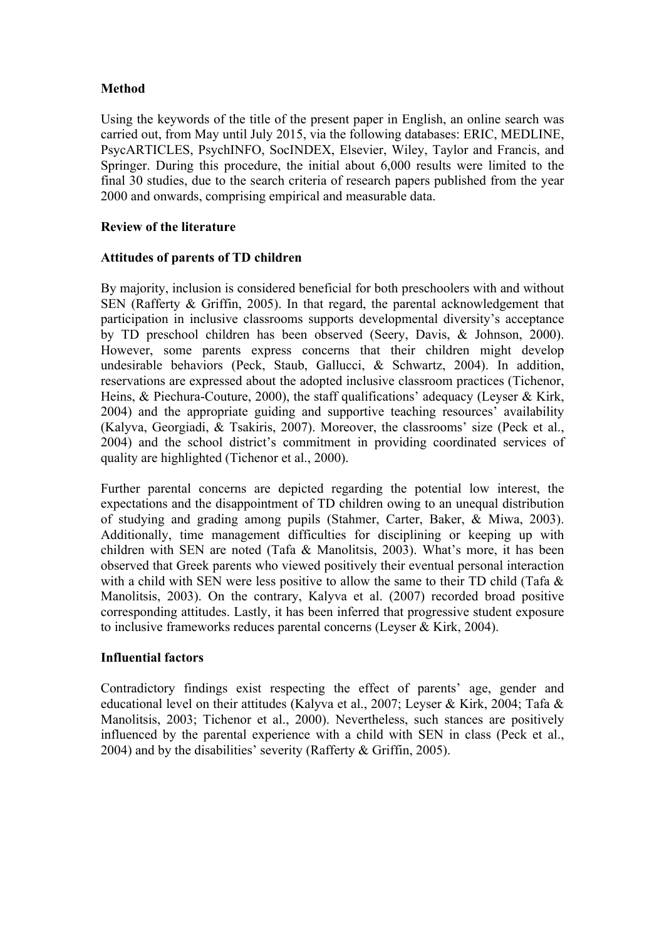## **Method**

Using the keywords of the title of the present paper in English, an online search was carried out, from May until July 2015, via the following databases: ERIC, MEDLINE, PsycARTICLES, PsychINFO, SocINDEX, Elsevier, Wiley, Taylor and Francis, and Springer. During this procedure, the initial about 6,000 results were limited to the final 30 studies, due to the search criteria of research papers published from the year 2000 and onwards, comprising empirical and measurable data.

## **Review of the literature**

#### **Attitudes of parents of TD children**

By majority, inclusion is considered beneficial for both preschoolers with and without SEN (Rafferty & Griffin, 2005). In that regard, the parental acknowledgement that participation in inclusive classrooms supports developmental diversity's acceptance by TD preschool children has been observed (Seery, Davis, & Johnson, 2000). However, some parents express concerns that their children might develop undesirable behaviors (Peck, Staub, Gallucci, & Schwartz, 2004). In addition, reservations are expressed about the adopted inclusive classroom practices (Tichenor, Heins, & Piechura-Couture, 2000), the staff qualifications' adequacy (Leyser & Kirk, 2004) and the appropriate guiding and supportive teaching resources' availability (Kalyva, Georgiadi, & Tsakiris, 2007). Moreover, the classrooms' size (Peck et al., 2004) and the school district's commitment in providing coordinated services of quality are highlighted (Tichenor et al., 2000).

Further parental concerns are depicted regarding the potential low interest, the expectations and the disappointment of TD children owing to an unequal distribution of studying and grading among pupils (Stahmer, Carter, Baker, & Miwa, 2003). Additionally, time management difficulties for disciplining or keeping up with children with SEN are noted (Tafa & Manolitsis, 2003). What's more, it has been observed that Greek parents who viewed positively their eventual personal interaction with a child with SEN were less positive to allow the same to their TD child (Tafa  $\&$ Manolitsis, 2003). On the contrary, Kalyva et al. (2007) recorded broad positive corresponding attitudes. Lastly, it has been inferred that progressive student exposure to inclusive frameworks reduces parental concerns (Leyser & Kirk, 2004).

## **Influential factors**

Contradictory findings exist respecting the effect of parents' age, gender and educational level on their attitudes (Kalyva et al., 2007; Leyser & Kirk, 2004; Tafa & Manolitsis, 2003; Tichenor et al., 2000). Nevertheless, such stances are positively influenced by the parental experience with a child with SEN in class (Peck et al., 2004) and by the disabilities' severity (Rafferty & Griffin, 2005).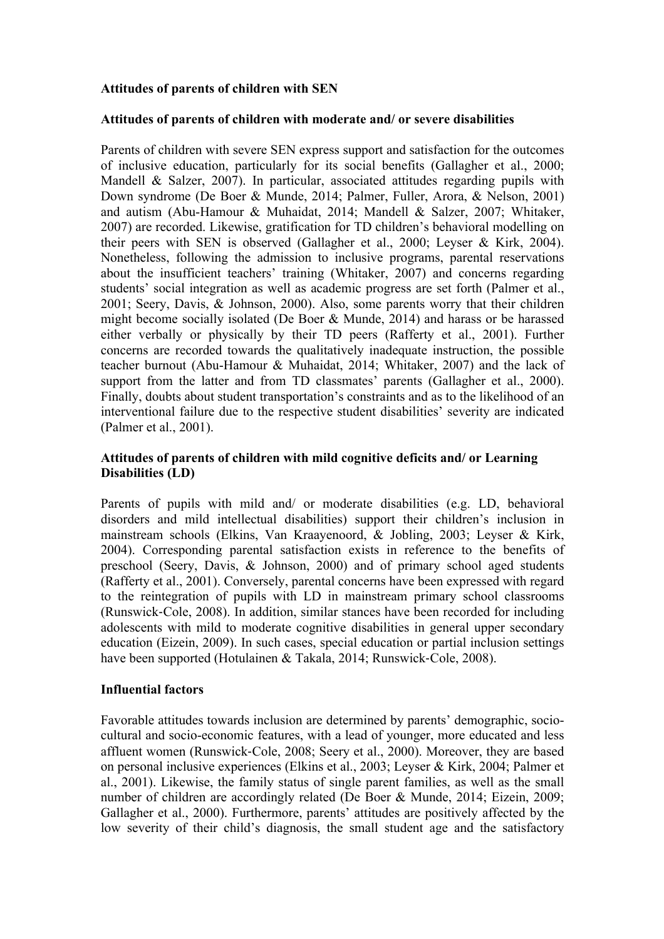## **Attitudes of parents of children with SEN**

#### **Attitudes of parents of children with moderate and/ or severe disabilities**

Parents of children with severe SEN express support and satisfaction for the outcomes of inclusive education, particularly for its social benefits (Gallagher et al., 2000; Mandell & Salzer, 2007). In particular, associated attitudes regarding pupils with Down syndrome (De Boer & Munde, 2014; Palmer, Fuller, Arora, & Nelson, 2001) and autism (Abu-Hamour & Muhaidat, 2014; Mandell & Salzer, 2007; Whitaker, 2007) are recorded. Likewise, gratification for TD children's behavioral modelling on their peers with SEN is observed (Gallagher et al., 2000; Leyser & Kirk, 2004). Nonetheless, following the admission to inclusive programs, parental reservations about the insufficient teachers' training (Whitaker, 2007) and concerns regarding students' social integration as well as academic progress are set forth (Palmer et al., 2001; Seery, Davis, & Johnson, 2000). Also, some parents worry that their children might become socially isolated (De Boer & Munde, 2014) and harass or be harassed either verbally or physically by their TD peers (Rafferty et al., 2001). Further concerns are recorded towards the qualitatively inadequate instruction, the possible teacher burnout (Abu-Hamour & Muhaidat, 2014; Whitaker, 2007) and the lack of support from the latter and from TD classmates' parents (Gallagher et al., 2000). Finally, doubts about student transportation's constraints and as to the likelihood of an interventional failure due to the respective student disabilities' severity are indicated (Palmer et al., 2001).

#### **Attitudes of parents of children with mild cognitive deficits and/ or Learning Disabilities (LD)**

Parents of pupils with mild and/ or moderate disabilities (e.g. LD, behavioral disorders and mild intellectual disabilities) support their children's inclusion in mainstream schools (Elkins, Van Kraayenoord, & Jobling, 2003; Leyser & Kirk, 2004). Corresponding parental satisfaction exists in reference to the benefits of preschool (Seery, Davis, & Johnson, 2000) and of primary school aged students (Rafferty et al., 2001). Conversely, parental concerns have been expressed with regard to the reintegration of pupils with LD in mainstream primary school classrooms (Runswick-Cole, 2008). In addition, similar stances have been recorded for including adolescents with mild to moderate cognitive disabilities in general upper secondary education (Eizein, 2009). In such cases, special education or partial inclusion settings have been supported (Hotulainen & Takala, 2014; Runswick-Cole, 2008).

#### **Influential factors**

Favorable attitudes towards inclusion are determined by parents' demographic, sociocultural and socio-economic features, with a lead of younger, more educated and less affluent women (Runswick-Cole, 2008; Seery et al., 2000). Moreover, they are based on personal inclusive experiences (Elkins et al., 2003; Leyser & Kirk, 2004; Palmer et al., 2001). Likewise, the family status of single parent families, as well as the small number of children are accordingly related (De Boer & Munde, 2014; Eizein, 2009; Gallagher et al., 2000). Furthermore, parents' attitudes are positively affected by the low severity of their child's diagnosis, the small student age and the satisfactory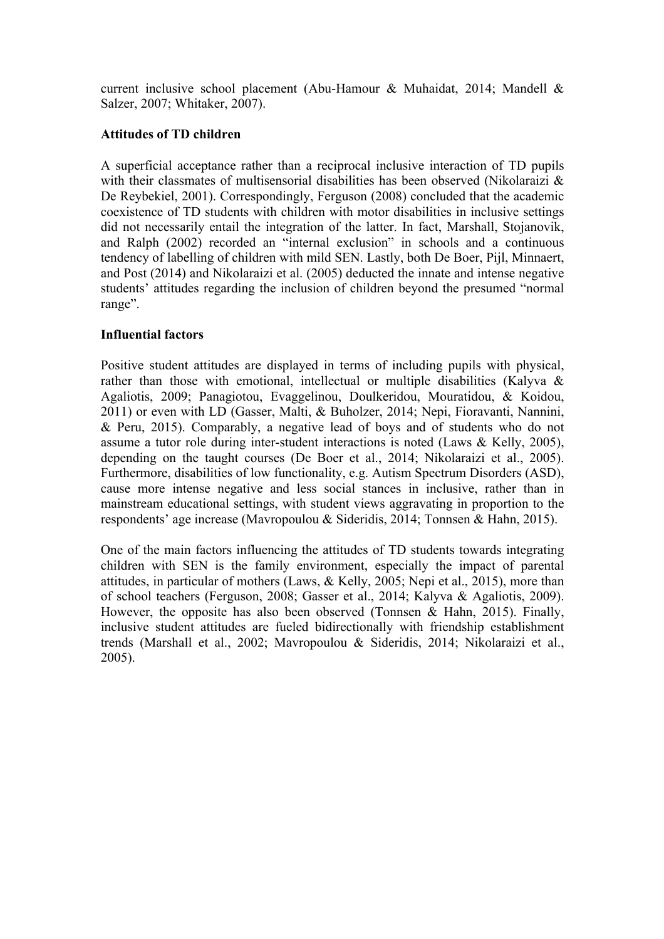current inclusive school placement (Abu-Hamour & Muhaidat, 2014; Mandell & Salzer, 2007; Whitaker, 2007).

## **Attitudes of TD children**

A superficial acceptance rather than a reciprocal inclusive interaction of TD pupils with their classmates of multisensorial disabilities has been observed (Nikolaraizi  $\&$ De Reybekiel, 2001). Correspondingly, Ferguson (2008) concluded that the academic coexistence of TD students with children with motor disabilities in inclusive settings did not necessarily entail the integration of the latter. In fact, Marshall, Stojanovik, and Ralph (2002) recorded an "internal exclusion" in schools and a continuous tendency of labelling of children with mild SEN. Lastly, both De Boer, Pijl, Minnaert, and Post (2014) and Nikolaraizi et al. (2005) deducted the innate and intense negative students' attitudes regarding the inclusion of children beyond the presumed "normal range".

## **Influential factors**

Positive student attitudes are displayed in terms of including pupils with physical, rather than those with emotional, intellectual or multiple disabilities (Kalyva & Agaliotis, 2009; Panagiotou, Evaggelinou, Doulkeridou, Mouratidou, & Koidou, 2011) or even with LD (Gasser, Malti, & Buholzer, 2014; Nepi, Fioravanti, Nannini, & Peru, 2015). Comparably, a negative lead of boys and of students who do not assume a tutor role during inter-student interactions is noted (Laws & Kelly, 2005), depending on the taught courses (De Boer et al., 2014; Nikolaraizi et al., 2005). Furthermore, disabilities of low functionality, e.g. Autism Spectrum Disorders (ASD), cause more intense negative and less social stances in inclusive, rather than in mainstream educational settings, with student views aggravating in proportion to the respondents' age increase (Mavropoulou & Sideridis, 2014; Tonnsen & Hahn, 2015).

One of the main factors influencing the attitudes of TD students towards integrating children with SEN is the family environment, especially the impact of parental attitudes, in particular of mothers (Laws, & Kelly, 2005; Nepi et al., 2015), more than of school teachers (Ferguson, 2008; Gasser et al., 2014; Kalyva & Agaliotis, 2009). However, the opposite has also been observed (Tonnsen & Hahn, 2015). Finally, inclusive student attitudes are fueled bidirectionally with friendship establishment trends (Marshall et al., 2002; Mavropoulou & Sideridis, 2014; Nikolaraizi et al., 2005).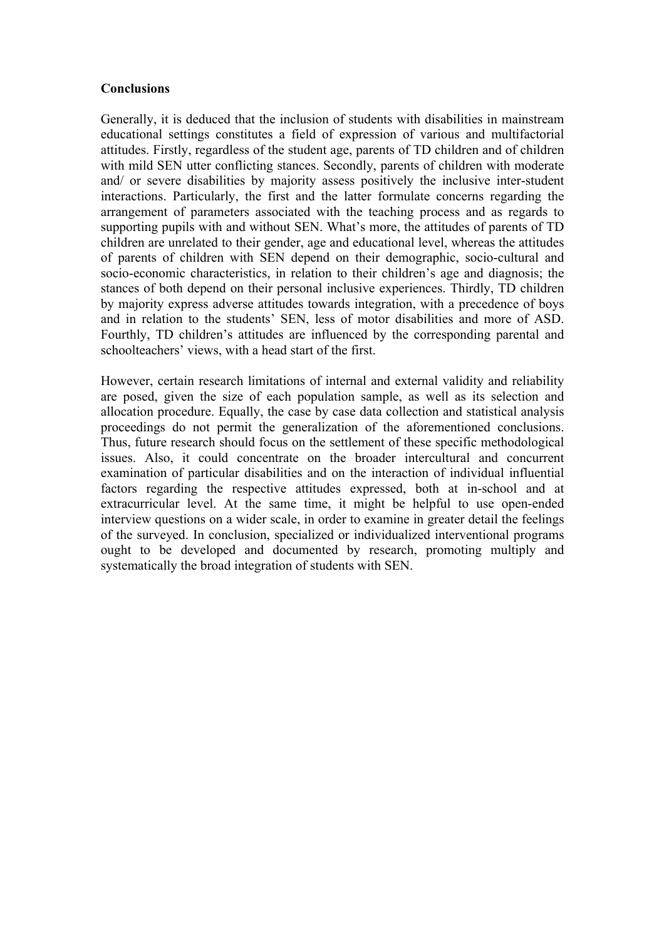#### **Conclusions**

Generally, it is deduced that the inclusion of students with disabilities in mainstream educational settings constitutes a field of expression of various and multifactorial attitudes. Firstly, regardless of the student age, parents of TD children and of children with mild SEN utter conflicting stances. Secondly, parents of children with moderate and/ or severe disabilities by majority assess positively the inclusive inter-student interactions. Particularly, the first and the latter formulate concerns regarding the arrangement of parameters associated with the teaching process and as regards to supporting pupils with and without SEN. What's more, the attitudes of parents of TD children are unrelated to their gender, age and educational level, whereas the attitudes of parents of children with SEN depend on their demographic, socio-cultural and socio-economic characteristics, in relation to their children's age and diagnosis; the stances of both depend on their personal inclusive experiences. Thirdly, TD children by majority express adverse attitudes towards integration, with a precedence of boys and in relation to the students' SEN, less of motor disabilities and more of ASD. Fourthly, TD children's attitudes are influenced by the corresponding parental and schoolteachers' views, with a head start of the first.

However, certain research limitations of internal and external validity and reliability are posed, given the size of each population sample, as well as its selection and allocation procedure. Equally, the case by case data collection and statistical analysis proceedings do not permit the generalization of the aforementioned conclusions. Thus, future research should focus on the settlement of these specific methodological issues. Also, it could concentrate on the broader intercultural and concurrent examination of particular disabilities and on the interaction of individual influential factors regarding the respective attitudes expressed, both at in-school and at extracurricular level. At the same time, it might be helpful to use open-ended interview questions on a wider scale, in order to examine in greater detail the feelings of the surveyed. In conclusion, specialized or individualized interventional programs ought to be developed and documented by research, promoting multiply and systematically the broad integration of students with SEN.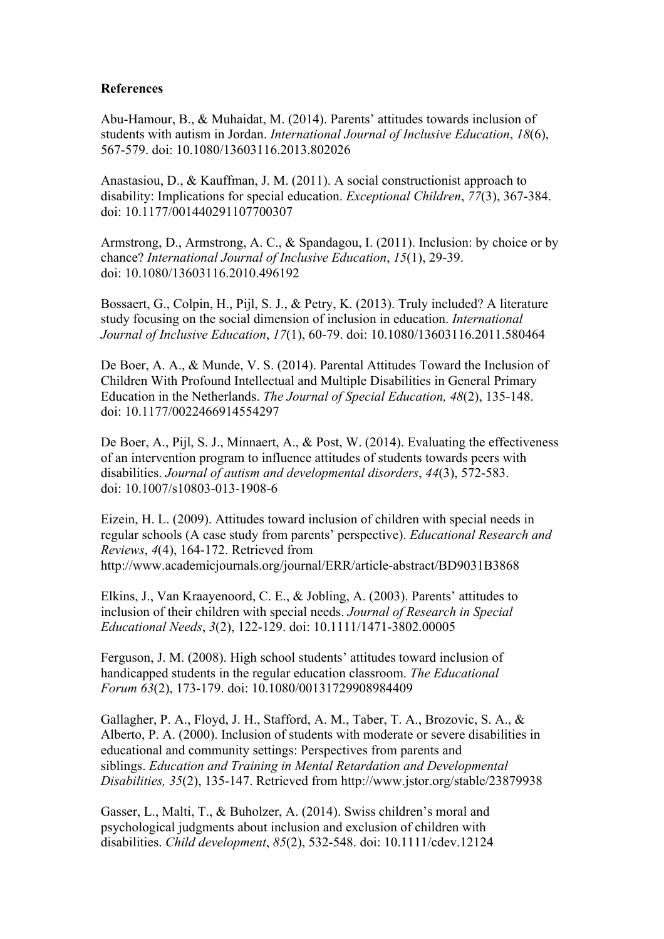#### **References**

Abu-Hamour, B., & Muhaidat, M. (2014). Parents' attitudes towards inclusion of students with autism in Jordan. *International Journal of Inclusive Education*, *18*(6), 567-579. doi: 10.1080/13603116.2013.802026

Anastasiou, D., & Kauffman, J. M. (2011). A social constructionist approach to disability: Implications for special education. *Exceptional Children*, *77*(3), 367-384. doi: 10.1177/001440291107700307

Armstrong, D., Armstrong, A. C., & Spandagou, I. (2011). Inclusion: by choice or by chance? *International Journal of Inclusive Education*, *15*(1), 29-39. doi: 10.1080/13603116.2010.496192

Bossaert, G., Colpin, H., Pijl, S. J., & Petry, K. (2013). Truly included? A literature study focusing on the social dimension of inclusion in education. *International Journal of Inclusive Education*, *17*(1), 60-79. doi: 10.1080/13603116.2011.580464

De Boer, A. A., & Munde, V. S. (2014). Parental Attitudes Toward the Inclusion of Children With Profound Intellectual and Multiple Disabilities in General Primary Education in the Netherlands. *The Journal of Special Education, 48*(2), 135-148. doi: 10.1177/0022466914554297

De Boer, A., Pijl, S. J., Minnaert, A., & Post, W. (2014). Evaluating the effectiveness of an intervention program to influence attitudes of students towards peers with disabilities. *Journal of autism and developmental disorders*, *44*(3), 572-583. doi: 10.1007/s10803-013-1908-6

Eizein, H. L. (2009). Attitudes toward inclusion of children with special needs in regular schools (A case study from parents' perspective). *Educational Research and Reviews*, *4*(4), 164-172. Retrieved from http://www.academicjournals.org/journal/ERR/article-abstract/BD9031B3868

Elkins, J., Van Kraayenoord, C. E., & Jobling, A. (2003). Parents' attitudes to inclusion of their children with special needs. *Journal of Research in Special Educational Needs*, *3*(2), 122-129. doi: 10.1111/1471-3802.00005

Ferguson, J. M. (2008). High school students' attitudes toward inclusion of handicapped students in the regular education classroom. *The Educational Forum 63*(2), 173-179. doi: 10.1080/00131729908984409

Gallagher, P. A., Floyd, J. H., Stafford, A. M., Taber, T. A., Brozovic, S. A., & Alberto, P. A. (2000). Inclusion of students with moderate or severe disabilities in educational and community settings: Perspectives from parents and siblings. *Education and Training in Mental Retardation and Developmental Disabilities, 35*(2), 135-147. Retrieved from http://www.jstor.org/stable/23879938

Gasser, L., Malti, T., & Buholzer, A. (2014). Swiss children's moral and psychological judgments about inclusion and exclusion of children with disabilities. *Child development*, *85*(2), 532-548. doi: 10.1111/cdev.12124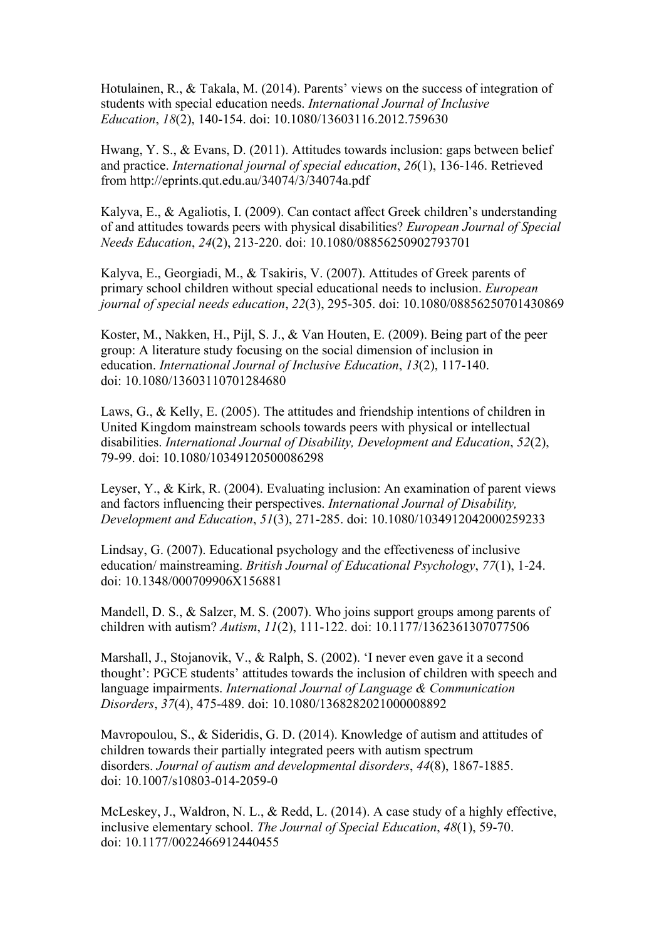Hotulainen, R., & Takala, M. (2014). Parents' views on the success of integration of students with special education needs. *International Journal of Inclusive Education*, *18*(2), 140-154. doi: 10.1080/13603116.2012.759630

Hwang, Y. S., & Evans, D. (2011). Attitudes towards inclusion: gaps between belief and practice. *International journal of special education*, *26*(1), 136-146. Retrieved from http://eprints.qut.edu.au/34074/3/34074a.pdf

Kalyva, E., & Agaliotis, I. (2009). Can contact affect Greek children's understanding of and attitudes towards peers with physical disabilities? *European Journal of Special Needs Education*, *24*(2), 213-220. doi: 10.1080/08856250902793701

Kalyva, E., Georgiadi, M., & Tsakiris, V. (2007). Attitudes of Greek parents of primary school children without special educational needs to inclusion. *European journal of special needs education*, *22*(3), 295-305. doi: 10.1080/08856250701430869

Koster, M., Nakken, H., Pijl, S. J., & Van Houten, E. (2009). Being part of the peer group: A literature study focusing on the social dimension of inclusion in education. *International Journal of Inclusive Education*, *13*(2), 117-140. doi: 10.1080/13603110701284680

Laws, G., & Kelly, E. (2005). The attitudes and friendship intentions of children in United Kingdom mainstream schools towards peers with physical or intellectual disabilities. *International Journal of Disability, Development and Education*, *52*(2), 79-99. doi: 10.1080/10349120500086298

Leyser, Y., & Kirk, R. (2004). Evaluating inclusion: An examination of parent views and factors influencing their perspectives. *International Journal of Disability, Development and Education*, *51*(3), 271-285. doi: 10.1080/1034912042000259233

Lindsay, G. (2007). Educational psychology and the effectiveness of inclusive education/ mainstreaming. *British Journal of Educational Psychology*, *77*(1), 1-24. doi: 10.1348/000709906X156881

Mandell, D. S., & Salzer, M. S. (2007). Who joins support groups among parents of children with autism? *Autism*, *11*(2), 111-122. doi: 10.1177/1362361307077506

Marshall, J., Stojanovik, V., & Ralph, S. (2002). 'I never even gave it a second thought': PGCE students' attitudes towards the inclusion of children with speech and language impairments. *International Journal of Language & Communication Disorders*, *37*(4), 475-489. doi: 10.1080/1368282021000008892

Mavropoulou, S., & Sideridis, G. D. (2014). Knowledge of autism and attitudes of children towards their partially integrated peers with autism spectrum disorders. *Journal of autism and developmental disorders*, *44*(8), 1867-1885. doi: 10.1007/s10803-014-2059-0

McLeskey, J., Waldron, N. L., & Redd, L. (2014). A case study of a highly effective, inclusive elementary school. *The Journal of Special Education*, *48*(1), 59-70. doi: 10.1177/0022466912440455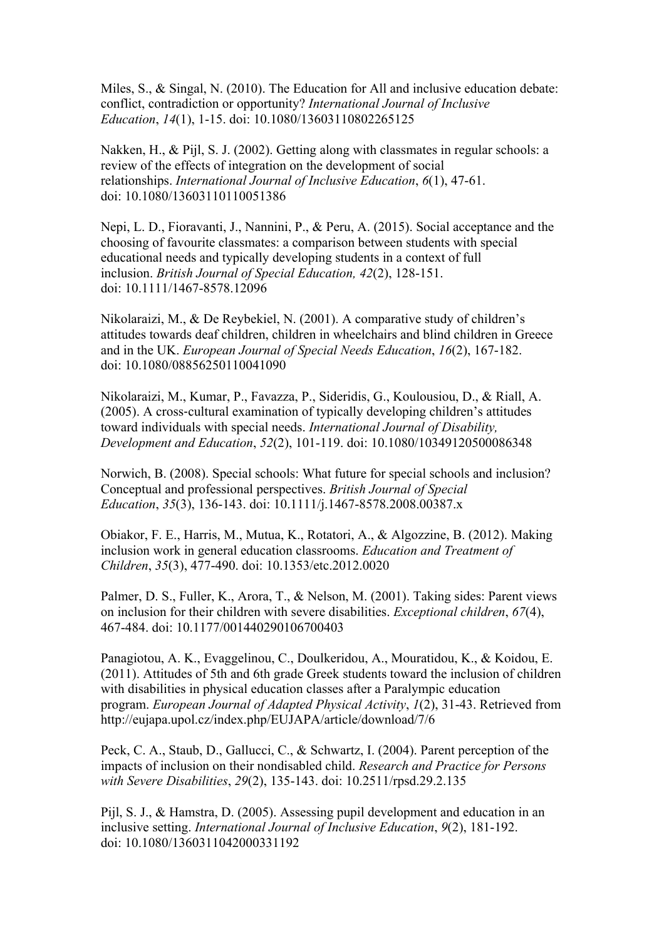Miles, S., & Singal, N. (2010). The Education for All and inclusive education debate: conflict, contradiction or opportunity? *International Journal of Inclusive Education*, *14*(1), 1-15. doi: 10.1080/13603110802265125

Nakken, H., & Pijl, S. J. (2002). Getting along with classmates in regular schools: a review of the effects of integration on the development of social relationships. *International Journal of Inclusive Education*, *6*(1), 47-61. doi: 10.1080/13603110110051386

Nepi, L. D., Fioravanti, J., Nannini, P., & Peru, A. (2015). Social acceptance and the choosing of favourite classmates: a comparison between students with special educational needs and typically developing students in a context of full inclusion. *British Journal of Special Education, 42*(2), 128-151. doi: 10.1111/1467-8578.12096

Nikolaraizi, M., & De Reybekiel, N. (2001). A comparative study of children's attitudes towards deaf children, children in wheelchairs and blind children in Greece and in the UK. *European Journal of Special Needs Education*, *16*(2), 167-182. doi: 10.1080/08856250110041090

Nikolaraizi, M., Kumar, P., Favazza, P., Sideridis, G., Koulousiou, D., & Riall, A. (2005). A cross-cultural examination of typically developing children's attitudes toward individuals with special needs. *International Journal of Disability, Development and Education*, *52*(2), 101-119. doi: 10.1080/10349120500086348

Norwich, B. (2008). Special schools: What future for special schools and inclusion? Conceptual and professional perspectives. *British Journal of Special Education*, *35*(3), 136-143. doi: 10.1111/j.1467-8578.2008.00387.x

Obiakor, F. E., Harris, M., Mutua, K., Rotatori, A., & Algozzine, B. (2012). Making inclusion work in general education classrooms. *Education and Treatment of Children*, *35*(3), 477-490. doi: 10.1353/etc.2012.0020

Palmer, D. S., Fuller, K., Arora, T., & Nelson, M. (2001). Taking sides: Parent views on inclusion for their children with severe disabilities. *Exceptional children*, *67*(4), 467-484. doi: 10.1177/001440290106700403

Panagiotou, A. K., Evaggelinou, C., Doulkeridou, A., Mouratidou, K., & Koidou, E. (2011). Attitudes of 5th and 6th grade Greek students toward the inclusion of children with disabilities in physical education classes after a Paralympic education program. *European Journal of Adapted Physical Activity*, *1*(2), 31-43. Retrieved from http://eujapa.upol.cz/index.php/EUJAPA/article/download/7/6

Peck, C. A., Staub, D., Gallucci, C., & Schwartz, I. (2004). Parent perception of the impacts of inclusion on their nondisabled child. *Research and Practice for Persons with Severe Disabilities*, *29*(2), 135-143. doi: 10.2511/rpsd.29.2.135

Pijl, S. J., & Hamstra, D. (2005). Assessing pupil development and education in an inclusive setting. *International Journal of Inclusive Education*, *9*(2), 181-192. doi: 10.1080/1360311042000331192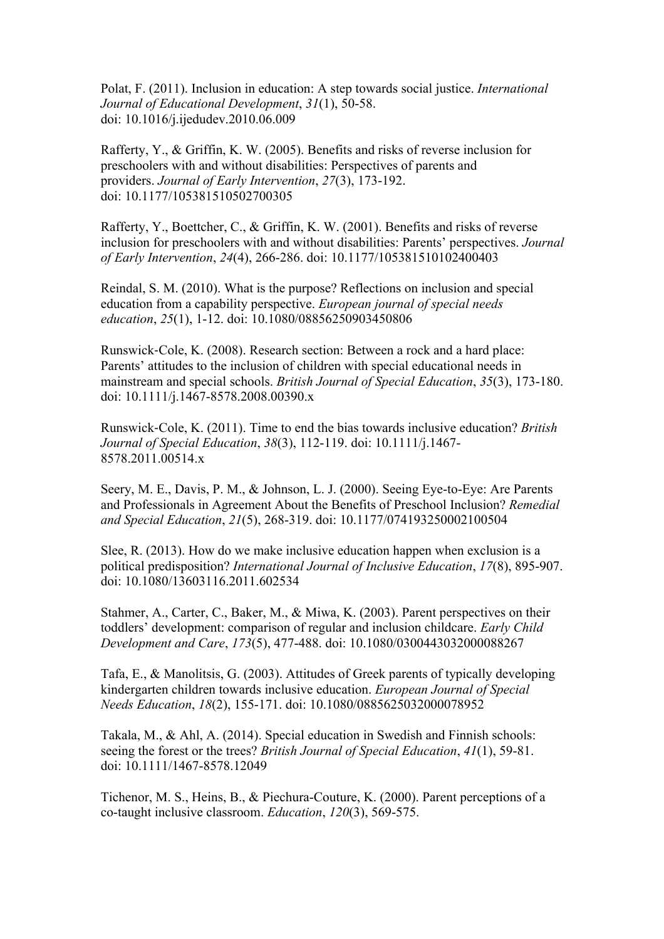Polat, F. (2011). Inclusion in education: A step towards social justice. *International Journal of Educational Development*, *31*(1), 50-58. doi: 10.1016/j.ijedudev.2010.06.009

Rafferty, Y., & Griffin, K. W. (2005). Benefits and risks of reverse inclusion for preschoolers with and without disabilities: Perspectives of parents and providers. *Journal of Early Intervention*, *27*(3), 173-192. doi: 10.1177/105381510502700305

Rafferty, Y., Boettcher, C., & Griffin, K. W. (2001). Benefits and risks of reverse inclusion for preschoolers with and without disabilities: Parents' perspectives. *Journal of Early Intervention*, *24*(4), 266-286. doi: 10.1177/105381510102400403

Reindal, S. M. (2010). What is the purpose? Reflections on inclusion and special education from a capability perspective. *European journal of special needs education*, *25*(1), 1-12. doi: 10.1080/08856250903450806

Runswick-Cole, K. (2008). Research section: Between a rock and a hard place: Parents' attitudes to the inclusion of children with special educational needs in mainstream and special schools. *British Journal of Special Education*, *35*(3), 173-180. doi: 10.1111/j.1467-8578.2008.00390.x

Runswick-Cole, K. (2011). Time to end the bias towards inclusive education? *British Journal of Special Education*, *38*(3), 112-119. doi: 10.1111/j.1467- 8578.2011.00514.x

Seery, M. E., Davis, P. M., & Johnson, L. J. (2000). Seeing Eye-to-Eye: Are Parents and Professionals in Agreement About the Benefits of Preschool Inclusion? *Remedial and Special Education*, *21*(5), 268-319. doi: 10.1177/074193250002100504

Slee, R. (2013). How do we make inclusive education happen when exclusion is a political predisposition? *International Journal of Inclusive Education*, *17*(8), 895-907. doi: 10.1080/13603116.2011.602534

Stahmer, A., Carter, C., Baker, M., & Miwa, K. (2003). Parent perspectives on their toddlers' development: comparison of regular and inclusion childcare. *Early Child Development and Care*, *173*(5), 477-488. doi: 10.1080/0300443032000088267

Tafa, E., & Manolitsis, G. (2003). Attitudes of Greek parents of typically developing kindergarten children towards inclusive education. *European Journal of Special Needs Education*, *18*(2), 155-171. doi: 10.1080/0885625032000078952

Takala, M., & Ahl, A. (2014). Special education in Swedish and Finnish schools: seeing the forest or the trees? *British Journal of Special Education*, *41*(1), 59-81. doi: 10.1111/1467-8578.12049

Tichenor, M. S., Heins, B., & Piechura-Couture, K. (2000). Parent perceptions of a co-taught inclusive classroom. *Education*, *120*(3), 569-575.